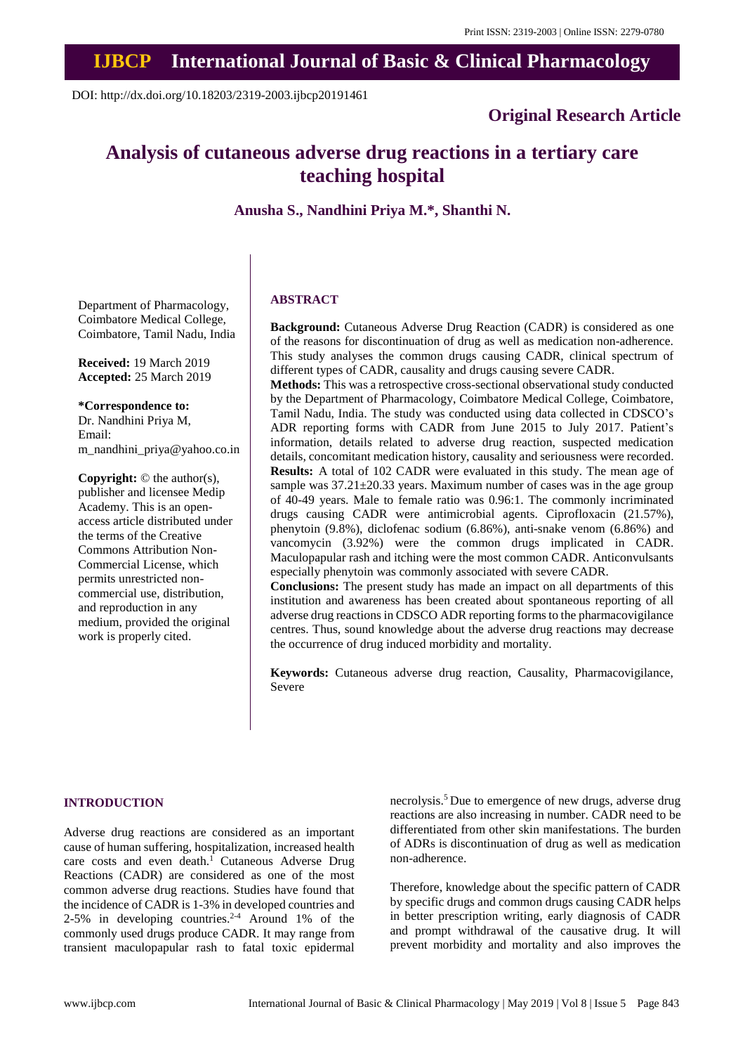# **IJBCP International Journal of Basic & Clinical Pharmacology**

DOI: http://dx.doi.org/10.18203/2319-2003.ijbcp20191461

# **Original Research Article**

# **Analysis of cutaneous adverse drug reactions in a tertiary care teaching hospital**

**Anusha S., Nandhini Priya M.\*, Shanthi N.**

Department of Pharmacology, Coimbatore Medical College, Coimbatore, Tamil Nadu, India

**Received:** 19 March 2019 **Accepted:** 25 March 2019

**\*Correspondence to:**

Dr. Nandhini Priya M, Email: m\_nandhini\_priya@yahoo.co.in

**Copyright:** © the author(s), publisher and licensee Medip Academy. This is an openaccess article distributed under the terms of the Creative Commons Attribution Non-Commercial License, which permits unrestricted noncommercial use, distribution, and reproduction in any medium, provided the original work is properly cited.

# **ABSTRACT**

**Background:** Cutaneous Adverse Drug Reaction (CADR) is considered as one of the reasons for discontinuation of drug as well as medication non-adherence. This study analyses the common drugs causing CADR, clinical spectrum of different types of CADR, causality and drugs causing severe CADR.

**Methods:** This was a retrospective cross-sectional observational study conducted by the Department of Pharmacology, Coimbatore Medical College, Coimbatore, Tamil Nadu, India. The study was conducted using data collected in CDSCO's ADR reporting forms with CADR from June 2015 to July 2017. Patient's information, details related to adverse drug reaction, suspected medication details, concomitant medication history, causality and seriousness were recorded. **Results:** A total of 102 CADR were evaluated in this study. The mean age of sample was  $37.21 \pm 20.33$  years. Maximum number of cases was in the age group of 40-49 years. Male to female ratio was 0.96:1. The commonly incriminated drugs causing CADR were antimicrobial agents. Ciprofloxacin (21.57%), phenytoin (9.8%), diclofenac sodium (6.86%), anti-snake venom (6.86%) and vancomycin (3.92%) were the common drugs implicated in CADR. Maculopapular rash and itching were the most common CADR. Anticonvulsants especially phenytoin was commonly associated with severe CADR.

**Conclusions:** The present study has made an impact on all departments of this institution and awareness has been created about spontaneous reporting of all adverse drug reactionsin CDSCO ADR reporting formsto the pharmacovigilance centres. Thus, sound knowledge about the adverse drug reactions may decrease the occurrence of drug induced morbidity and mortality.

**Keywords:** Cutaneous adverse drug reaction, Causality, Pharmacovigilance, Severe

# **INTRODUCTION**

Adverse drug reactions are considered as an important cause of human suffering, hospitalization, increased health care costs and even death.<sup>1</sup> Cutaneous Adverse Drug Reactions (CADR) are considered as one of the most common adverse drug reactions. Studies have found that the incidence of CADR is 1-3% in developed countries and 2-5% in developing countries.<sup>2-4</sup> Around 1% of the commonly used drugs produce CADR. It may range from transient maculopapular rash to fatal toxic epidermal necrolysis.<sup>5</sup> Due to emergence of new drugs, adverse drug reactions are also increasing in number. CADR need to be differentiated from other skin manifestations. The burden of ADRs is discontinuation of drug as well as medication non-adherence.

Therefore, knowledge about the specific pattern of CADR by specific drugs and common drugs causing CADR helps in better prescription writing, early diagnosis of CADR and prompt withdrawal of the causative drug. It will prevent morbidity and mortality and also improves the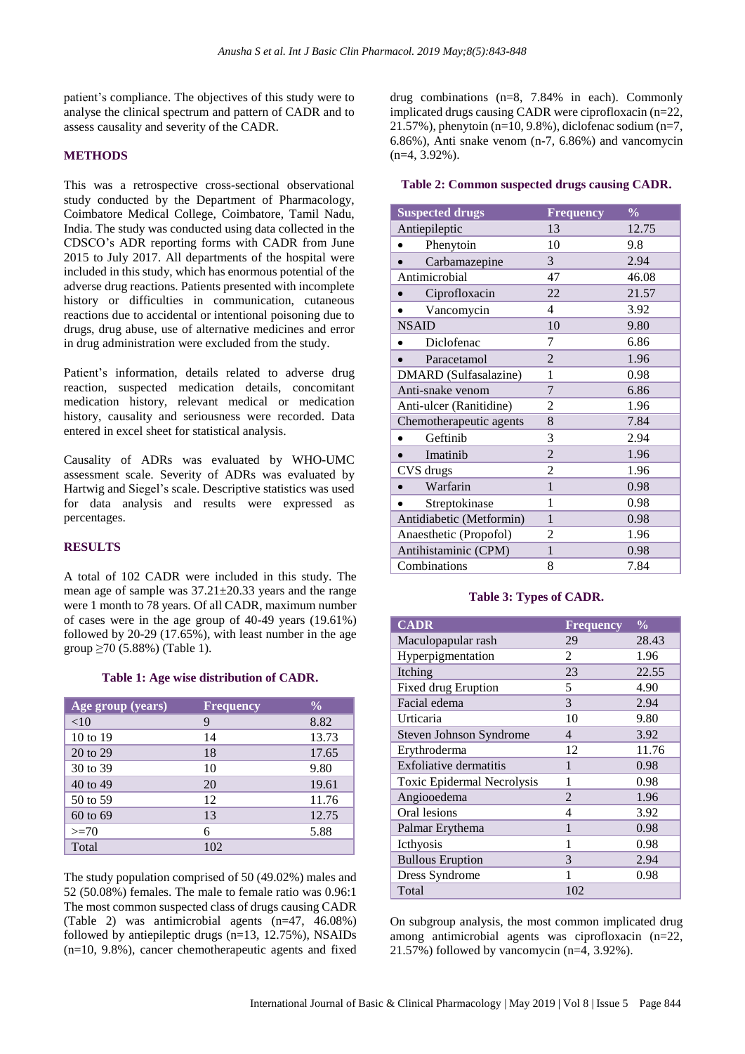patient's compliance. The objectives of this study were to analyse the clinical spectrum and pattern of CADR and to assess causality and severity of the CADR.

# **METHODS**

This was a retrospective cross-sectional observational study conducted by the Department of Pharmacology, Coimbatore Medical College, Coimbatore, Tamil Nadu, India. The study was conducted using data collected in the CDSCO's ADR reporting forms with CADR from June 2015 to July 2017. All departments of the hospital were included in this study, which has enormous potential of the adverse drug reactions. Patients presented with incomplete history or difficulties in communication, cutaneous reactions due to accidental or intentional poisoning due to drugs, drug abuse, use of alternative medicines and error in drug administration were excluded from the study.

Patient's information, details related to adverse drug reaction, suspected medication details, concomitant medication history, relevant medical or medication history, causality and seriousness were recorded. Data entered in excel sheet for statistical analysis.

Causality of ADRs was evaluated by WHO-UMC assessment scale. Severity of ADRs was evaluated by Hartwig and Siegel's scale. Descriptive statistics was used for data analysis and results were expressed as percentages.

## **RESULTS**

A total of 102 CADR were included in this study. The mean age of sample was 37.21±20.33 years and the range were 1 month to 78 years. Of all CADR, maximum number of cases were in the age group of 40-49 years (19.61%) followed by 20-29 (17.65%), with least number in the age group ≥70 (5.88%) (Table 1).

## **Table 1: Age wise distribution of CADR.**

| Age group (years) | <b>Frequency</b> | $\frac{0}{0}$ |
|-------------------|------------------|---------------|
| $<$ 10            | 9                | 8.82          |
| 10 to 19          | 14               | 13.73         |
| 20 to 29          | 18               | 17.65         |
| 30 to 39          | 10               | 9.80          |
| 40 to 49          | 20               | 19.61         |
| 50 to 59          | 12               | 11.76         |
| 60 to 69          | 13               | 12.75         |
| $>=70$            | 6                | 5.88          |
| Total             | 102              |               |

The study population comprised of 50 (49.02%) males and 52 (50.08%) females. The male to female ratio was 0.96:1 The most common suspected class of drugs causing CADR (Table 2) was antimicrobial agents (n=47, 46.08%) followed by antiepileptic drugs (n=13, 12.75%), NSAIDs (n=10, 9.8%), cancer chemotherapeutic agents and fixed drug combinations (n=8, 7.84% in each). Commonly implicated drugs causing CADR were ciprofloxacin (n=22, 21.57%), phenytoin (n=10, 9.8%), diclofenac sodium (n=7, 6.86%), Anti snake venom (n-7, 6.86%) and vancomycin (n=4, 3.92%).

#### **Table 2: Common suspected drugs causing CADR.**

| <b>Suspected drugs</b>   | <b>Frequency</b> | $\frac{0}{0}$ |
|--------------------------|------------------|---------------|
| Antiepileptic            | 13               | 12.75         |
| Phenytoin                | 10               | 9.8           |
| Carbamazepine            | 3                | 2.94          |
| Antimicrobial            | 47               | 46.08         |
| Ciprofloxacin<br>۰       | 22               | 21.57         |
| Vancomycin               | $\overline{4}$   | 3.92          |
| <b>NSAID</b>             | 10               | 9.80          |
| Diclofenac               | 7                | 6.86          |
| Paracetamol              | $\overline{2}$   | 1.96          |
| DMARD (Sulfasalazine)    | 1                | 0.98          |
| Anti-snake venom         | 7                | 6.86          |
| Anti-ulcer (Ranitidine)  | 2                | 1.96          |
| Chemotherapeutic agents  | 8                | 7.84          |
| Geftinib                 | 3                | 2.94          |
| Imatinib                 | $\overline{2}$   | 1.96          |
| CVS drugs                | 2                | 1.96          |
| Warfarin                 | $\mathbf{1}$     | 0.98          |
| Streptokinase            | 1                | 0.98          |
| Antidiabetic (Metformin) | 1                | 0.98          |
| Anaesthetic (Propofol)   | 2                | 1.96          |
| Antihistaminic (CPM)     | $\mathbf{1}$     | 0.98          |
| Combinations             | 8                | 7.84          |

## **Table 3: Types of CADR.**

| <b>CADR</b>                   | <b>Frequency</b> | $\frac{0}{0}$ |
|-------------------------------|------------------|---------------|
| Maculopapular rash            | 29               | 28.43         |
| Hyperpigmentation             | 2                | 1.96          |
| Itching                       | 23               | 22.55         |
| Fixed drug Eruption           | 5                | 4.90          |
| Facial edema                  | 3                | 2.94          |
| Urticaria                     | 10               | 9.80          |
| Steven Johnson Syndrome       | 4                | 3.92          |
| Erythroderma                  | 12               | 11.76         |
| <b>Exfoliative dermatitis</b> | 1                | 0.98          |
| Toxic Epidermal Necrolysis    | 1                | 0.98          |
| Angiooedema                   | 2                | 1.96          |
| Oral lesions                  | $\overline{4}$   | 3.92          |
| Palmar Erythema               | $\mathbf{1}$     | 0.98          |
| Icthyosis                     | 1                | 0.98          |
| <b>Bullous Eruption</b>       | 3                | 2.94          |
| Dress Syndrome                | 1                | 0.98          |
| Total                         | 102              |               |

On subgroup analysis, the most common implicated drug among antimicrobial agents was ciprofloxacin (n=22, 21.57%) followed by vancomycin (n=4, 3.92%).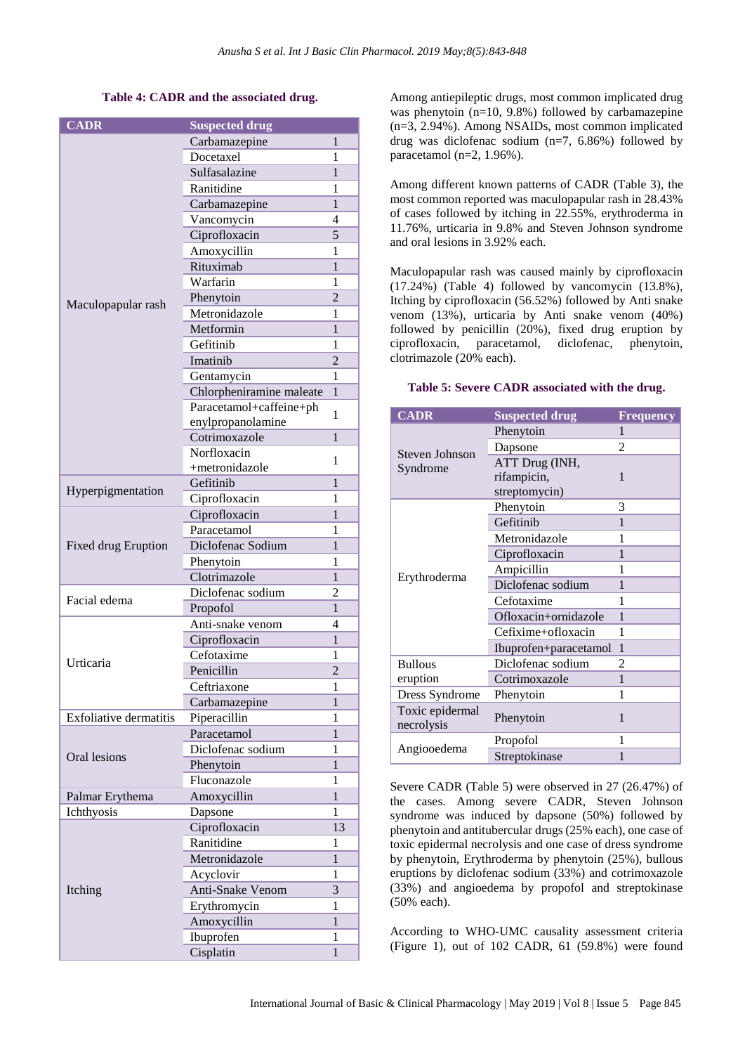# **Table 4: CADR and the associated drug.**

| <b>CADR</b>                   | <b>Suspected drug</b>              |                |
|-------------------------------|------------------------------------|----------------|
| Maculopapular rash            | Carbamazepine                      | 1              |
|                               | Docetaxel                          | 1              |
|                               | Sulfasalazine                      | 1              |
|                               | Ranitidine                         | 1              |
|                               | Carbamazepine                      | 1              |
|                               | Vancomycin                         | 4              |
|                               | Ciprofloxacin                      | 5              |
|                               | Amoxycillin                        | 1              |
|                               | Rituximab                          | $\mathbf{1}$   |
|                               | Warfarin                           | 1              |
|                               | Phenytoin                          | $\overline{c}$ |
|                               | Metronidazole                      | 1              |
|                               | Metformin                          | $\mathbf{1}$   |
|                               | Gefitinib                          | 1              |
|                               | Imatinib                           | $\overline{2}$ |
|                               |                                    | 1              |
|                               | Gentamycin                         | 1              |
|                               | Chlorpheniramine maleate           |                |
|                               | Paracetamol+caffeine+ph            | 1              |
|                               | enylpropanolamine<br>Cotrimoxazole | $\mathbf{1}$   |
|                               | Norfloxacin                        |                |
|                               | +metronidazole                     | 1              |
|                               | Gefitinib                          | 1              |
| Hyperpigmentation             |                                    |                |
|                               | Ciprofloxacin                      | 1              |
|                               | Ciprofloxacin                      | 1              |
|                               | Paracetamol                        | 1              |
| Fixed drug Eruption           | Diclofenac Sodium                  | 1              |
|                               | Phenytoin                          | 1              |
|                               | Clotrimazole                       | 1              |
| Facial edema                  | Diclofenac sodium                  | 2              |
|                               | Propofol                           | 1              |
|                               | Anti-snake venom                   | 4              |
|                               | Ciprofloxacin                      | $\mathbf{1}$   |
| Urticaria                     | Cefotaxime                         | 1              |
|                               | Penicillin                         | $\overline{c}$ |
|                               | Ceftriaxone                        | 1              |
|                               | Carbamazepine                      | 1              |
| <b>Exfoliative dermatitis</b> | Piperacillin                       | 1              |
|                               | Paracetamol                        | $\mathbf{1}$   |
| Oral lesions                  | Diclofenac sodium                  | 1              |
|                               | Phenytoin                          | 1              |
|                               | Fluconazole                        | 1              |
| Palmar Erythema               | Amoxycillin                        | 1              |
| Ichthyosis                    | Dapsone                            | 1              |
|                               | Ciprofloxacin                      | 13             |
|                               | Ranitidine                         | 1              |
|                               | Metronidazole                      | 1              |
|                               | Acyclovir                          | 1              |
| Itching                       | Anti-Snake Venom                   | 3              |
|                               | Erythromycin                       | 1              |
|                               | Amoxycillin                        | $\mathbf{1}$   |
|                               | Ibuprofen                          | 1              |
|                               |                                    |                |

Among antiepileptic drugs, most common implicated drug was phenytoin (n=10, 9.8%) followed by carbamazepine (n=3, 2.94%). Among NSAIDs, most common implicated drug was diclofenac sodium (n=7, 6.86%) followed by paracetamol (n=2, 1.96%).

Among different known patterns of CADR (Table 3), the most common reported was maculopapular rash in 28.43% of cases followed by itching in 22.55%, erythroderma in 11.76%, urticaria in 9.8% and Steven Johnson syndrome and oral lesions in 3.92% each.

Maculopapular rash was caused mainly by ciprofloxacin (17.24%) (Table 4) followed by vancomycin (13.8%), Itching by ciprofloxacin (56.52%) followed by Anti snake venom (13%), urticaria by Anti snake venom (40%) followed by penicillin (20%), fixed drug eruption by ciprofloxacin, paracetamol, diclofenac, phenytoin, clotrimazole (20% each).

#### **CADR Suspected drug Frequency** Steven Johnson Syndrome Phenytoin 1 Dapsone 2 ATT Drug (INH, rifampicin, streptomycin) 1 Erythroderma Phenytoin 3 Gefitinib 1 Metronidazole 1 Ciprofloxacin 1 Ampicillin 1 Diclofenac sodium 1 Cefotaxime 1 Ofloxacin+ornidazole 1 Cefixime+ofloxacin 1 Ibuprofen+paracetamol 1 Bullous eruption Diclofenac sodium 2 Cotrimoxazole 1 Dress Syndrome Phenytoin 1 Toxic epidermal necrolysis Phenytoin 1 Angiooedema Propofol 1<br>Streptokinase 1 **Streptokinase**

Severe CADR (Table 5) were observed in 27 (26.47%) of the cases. Among severe CADR, Steven Johnson syndrome was induced by dapsone (50%) followed by phenytoin and antitubercular drugs (25% each), one case of toxic epidermal necrolysis and one case of dress syndrome by phenytoin, Erythroderma by phenytoin (25%), bullous eruptions by diclofenac sodium (33%) and cotrimoxazole (33%) and angioedema by propofol and streptokinase (50% each).

According to WHO-UMC causality assessment criteria (Figure 1), out of 102 CADR, 61 (59.8%) were found

# **Table 5: Severe CADR associated with the drug.**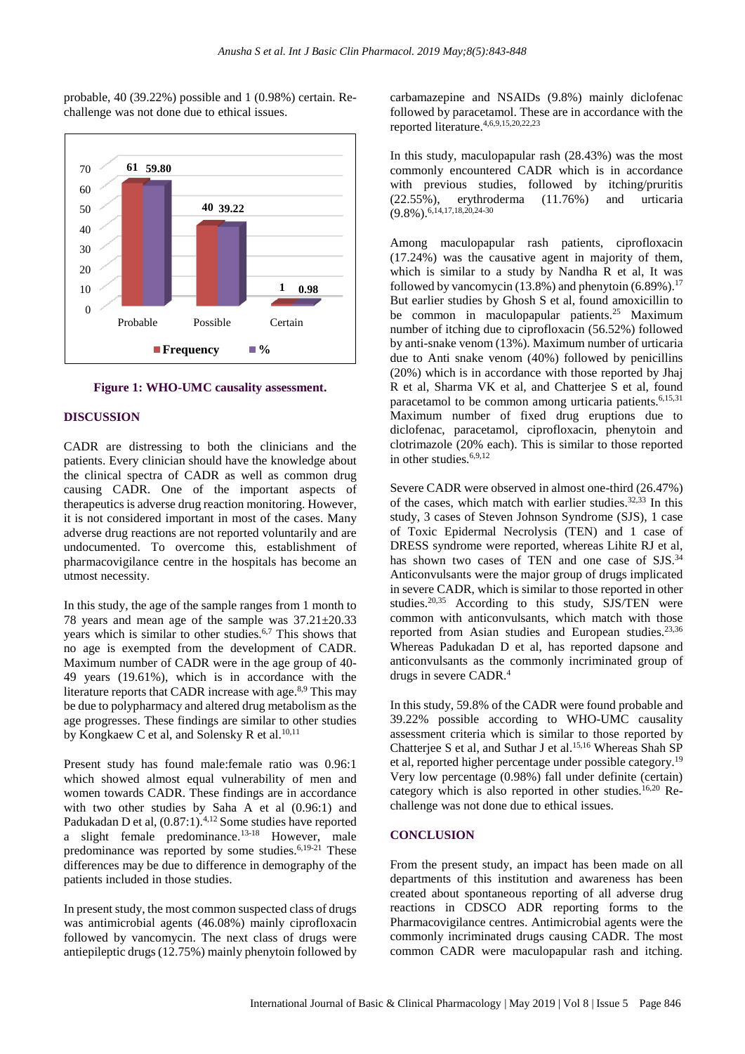probable, 40 (39.22%) possible and 1 (0.98%) certain. Rechallenge was not done due to ethical issues.



**Figure 1: WHO-UMC causality assessment.**

#### **DISCUSSION**

CADR are distressing to both the clinicians and the patients. Every clinician should have the knowledge about the clinical spectra of CADR as well as common drug causing CADR. One of the important aspects of therapeutics is adverse drug reaction monitoring. However, it is not considered important in most of the cases. Many adverse drug reactions are not reported voluntarily and are undocumented. To overcome this, establishment of pharmacovigilance centre in the hospitals has become an utmost necessity.

In this study, the age of the sample ranges from 1 month to 78 years and mean age of the sample was 37.21±20.33 years which is similar to other studies.<sup>6,7</sup> This shows that no age is exempted from the development of CADR. Maximum number of CADR were in the age group of 40- 49 years (19.61%), which is in accordance with the literature reports that CADR increase with age.<sup>8,9</sup> This may be due to polypharmacy and altered drug metabolism as the age progresses. These findings are similar to other studies by Kongkaew C et al, and Solensky R et al.<sup>10,11</sup>

Present study has found male:female ratio was 0.96:1 which showed almost equal vulnerability of men and women towards CADR. These findings are in accordance with two other studies by Saha A et al (0.96:1) and Padukadan D et al, (0.87:1).<sup>4,12</sup> Some studies have reported a slight female predominance.<sup>13-18</sup> However, male predominance was reported by some studies. $6,19-21$  These differences may be due to difference in demography of the patients included in those studies.

In present study, the most common suspected class of drugs was antimicrobial agents (46.08%) mainly ciprofloxacin followed by vancomycin. The next class of drugs were antiepileptic drugs(12.75%) mainly phenytoin followed by

carbamazepine and NSAIDs (9.8%) mainly diclofenac followed by paracetamol. These are in accordance with the reported literature.4,6,9,15,20,22,23

In this study, maculopapular rash (28.43%) was the most commonly encountered CADR which is in accordance with previous studies, followed by itching/pruritis (22.55%), erythroderma (11.76%) and urticaria  $(9.8\%)$ . 6,14,17,18,20,24-30

Among maculopapular rash patients, ciprofloxacin (17.24%) was the causative agent in majority of them, which is similar to a study by Nandha R et al, It was followed by vancomycin  $(13.8\%)$  and phenytoin  $(6.89\%)$ .<sup>17</sup> But earlier studies by Ghosh S et al, found amoxicillin to be common in maculopapular patients.<sup>25</sup> Maximum number of itching due to ciprofloxacin (56.52%) followed by anti-snake venom (13%). Maximum number of urticaria due to Anti snake venom (40%) followed by penicillins (20%) which is in accordance with those reported by Jhaj R et al, Sharma VK et al, and Chatterjee S et al, found paracetamol to be common among urticaria patients.<sup>6,15,31</sup> Maximum number of fixed drug eruptions due to diclofenac, paracetamol, ciprofloxacin, phenytoin and clotrimazole (20% each). This is similar to those reported in other studies. $6,9,12$ 

Severe CADR were observed in almost one-third (26.47%) of the cases, which match with earlier studies.  $32,33$  In this study, 3 cases of Steven Johnson Syndrome (SJS), 1 case of Toxic Epidermal Necrolysis (TEN) and 1 case of DRESS syndrome were reported, whereas Lihite RJ et al, has shown two cases of TEN and one case of SJS.<sup>34</sup> Anticonvulsants were the major group of drugs implicated in severe CADR, which is similar to those reported in other studies.<sup>20,35</sup> According to this study, SJS/TEN were common with anticonvulsants, which match with those reported from Asian studies and European studies.<sup>23,36</sup> Whereas Padukadan D et al, has reported dapsone and anticonvulsants as the commonly incriminated group of drugs in severe CADR.<sup>4</sup>

In this study, 59.8% of the CADR were found probable and 39.22% possible according to WHO-UMC causality assessment criteria which is similar to those reported by Chatteriee S et al, and Suthar J et al.<sup>15,16</sup> Whereas Shah SP et al, reported higher percentage under possible category.<sup>19</sup> Very low percentage (0.98%) fall under definite (certain) category which is also reported in other studies.<sup>16,20</sup> Rechallenge was not done due to ethical issues.

# **CONCLUSION**

From the present study, an impact has been made on all departments of this institution and awareness has been created about spontaneous reporting of all adverse drug reactions in CDSCO ADR reporting forms to the Pharmacovigilance centres. Antimicrobial agents were the commonly incriminated drugs causing CADR. The most common CADR were maculopapular rash and itching.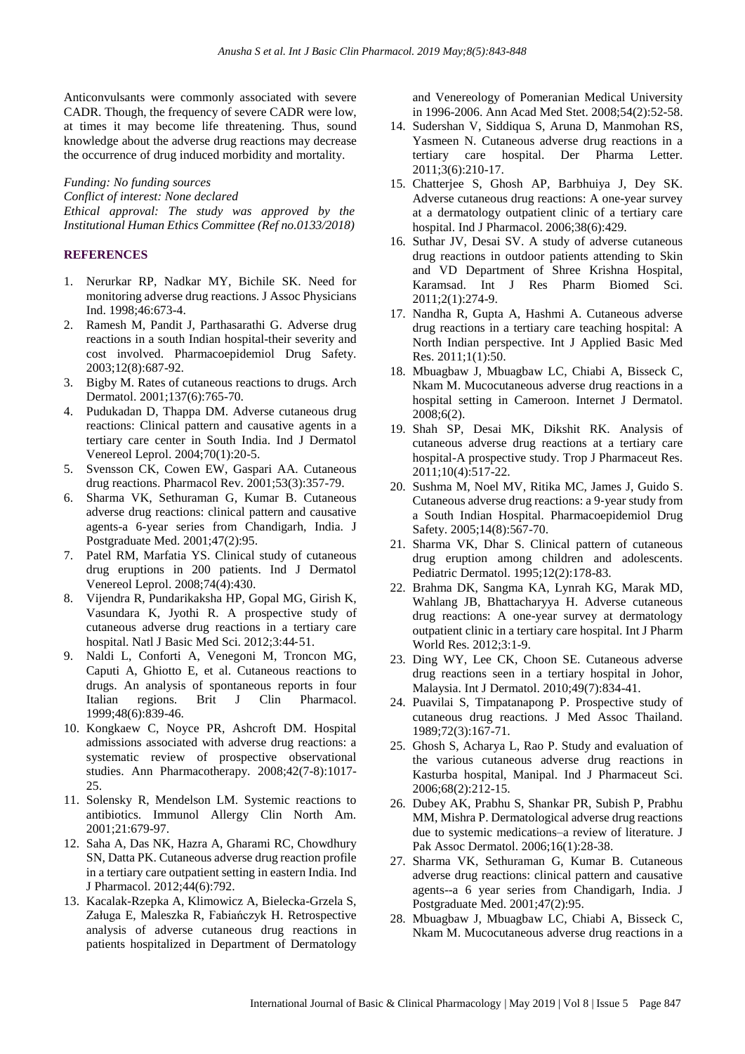Anticonvulsants were commonly associated with severe CADR. Though, the frequency of severe CADR were low, at times it may become life threatening. Thus, sound knowledge about the adverse drug reactions may decrease the occurrence of drug induced morbidity and mortality.

*Funding: No funding sources Conflict of interest: None declared Ethical approval: The study was approved by the Institutional Human Ethics Committee (Ref no.0133/2018)*

# **REFERENCES**

- 1. Nerurkar RP, Nadkar MY, Bichile SK. Need for monitoring adverse drug reactions. J Assoc Physicians Ind. 1998;46:673-4.
- 2. Ramesh M, Pandit J, Parthasarathi G. Adverse drug reactions in a south Indian hospital-their severity and cost involved. Pharmacoepidemiol Drug Safety. 2003;12(8):687-92.
- 3. Bigby M. Rates of cutaneous reactions to drugs. Arch Dermatol. 2001;137(6):765-70.
- 4. Pudukadan D, Thappa DM. Adverse cutaneous drug reactions: Clinical pattern and causative agents in a tertiary care center in South India. Ind J Dermatol Venereol Leprol. 2004;70(1):20-5.
- 5. Svensson CK, Cowen EW, Gaspari AA. Cutaneous drug reactions. Pharmacol Rev. 2001;53(3):357-79.
- 6. Sharma VK, Sethuraman G, Kumar B. Cutaneous adverse drug reactions: clinical pattern and causative agents-a 6-year series from Chandigarh, India. J Postgraduate Med. 2001;47(2):95.
- 7. Patel RM, Marfatia YS. Clinical study of cutaneous drug eruptions in 200 patients. Ind J Dermatol Venereol Leprol. 2008;74(4):430.
- 8. Vijendra R, Pundarikaksha HP, Gopal MG, Girish K, Vasundara K, Jyothi R. A prospective study of cutaneous adverse drug reactions in a tertiary care hospital. Natl J Basic Med Sci. 2012;3:44‑51.
- 9. Naldi L, Conforti A, Venegoni M, Troncon MG, Caputi A, Ghiotto E, et al. Cutaneous reactions to drugs. An analysis of spontaneous reports in four Italian regions. Brit J Clin Pharmacol. 1999;48(6):839-46.
- 10. Kongkaew C, Noyce PR, Ashcroft DM. Hospital admissions associated with adverse drug reactions: a systematic review of prospective observational studies. Ann Pharmacotherapy. 2008;42(7-8):1017- 25.
- 11. Solensky R, Mendelson LM. Systemic reactions to antibiotics. Immunol Allergy Clin North Am. 2001;21:679-97.
- 12. Saha A, Das NK, Hazra A, Gharami RC, Chowdhury SN, Datta PK. Cutaneous adverse drug reaction profile in a tertiary care outpatient setting in eastern India. Ind J Pharmacol. 2012;44(6):792.
- 13. Kacalak-Rzepka A, Klimowicz A, Bielecka-Grzela S, Załuga E, Maleszka R, Fabiańczyk H. Retrospective analysis of adverse cutaneous drug reactions in patients hospitalized in Department of Dermatology

and Venereology of Pomeranian Medical University in 1996-2006. Ann Acad Med Stet. 2008;54(2):52-58.

- 14. Sudershan V, Siddiqua S, Aruna D, Manmohan RS, Yasmeen N. Cutaneous adverse drug reactions in a tertiary care hospital. Der Pharma Letter. 2011;3(6):210-17.
- 15. Chatterjee S, Ghosh AP, Barbhuiya J, Dey SK. Adverse cutaneous drug reactions: A one-year survey at a dermatology outpatient clinic of a tertiary care hospital. Ind J Pharmacol. 2006;38(6):429.
- 16. Suthar JV, Desai SV. A study of adverse cutaneous drug reactions in outdoor patients attending to Skin and VD Department of Shree Krishna Hospital, Karamsad. Int J Res Pharm Biomed Sci. 2011;2(1):274-9.
- 17. Nandha R, Gupta A, Hashmi A. Cutaneous adverse drug reactions in a tertiary care teaching hospital: A North Indian perspective. Int J Applied Basic Med Res. 2011;1(1):50.
- 18. Mbuagbaw J, Mbuagbaw LC, Chiabi A, Bisseck C, Nkam M. Mucocutaneous adverse drug reactions in a hospital setting in Cameroon. Internet J Dermatol. 2008;6(2).
- 19. Shah SP, Desai MK, Dikshit RK. Analysis of cutaneous adverse drug reactions at a tertiary care hospital-A prospective study. Trop J Pharmaceut Res. 2011;10(4):517-22.
- 20. Sushma M, Noel MV, Ritika MC, James J, Guido S. Cutaneous adverse drug reactions: a 9‑year study from a South Indian Hospital. Pharmacoepidemiol Drug Safety. 2005;14(8):567-70.
- 21. Sharma VK, Dhar S. Clinical pattern of cutaneous drug eruption among children and adolescents. Pediatric Dermatol. 1995;12(2):178-83.
- 22. Brahma DK, Sangma KA, Lynrah KG, Marak MD, Wahlang JB, Bhattacharyya H. Adverse cutaneous drug reactions: A one-year survey at dermatology outpatient clinic in a tertiary care hospital. Int J Pharm World Res. 2012;3:1-9.
- 23. Ding WY, Lee CK, Choon SE. Cutaneous adverse drug reactions seen in a tertiary hospital in Johor, Malaysia. Int J Dermatol. 2010;49(7):834-41.
- 24. Puavilai S, Timpatanapong P. Prospective study of cutaneous drug reactions. J Med Assoc Thailand. 1989;72(3):167-71.
- 25. Ghosh S, Acharya L, Rao P. Study and evaluation of the various cutaneous adverse drug reactions in Kasturba hospital, Manipal. Ind J Pharmaceut Sci. 2006;68(2):212-15.
- 26. Dubey AK, Prabhu S, Shankar PR, Subish P, Prabhu MM, Mishra P. Dermatological adverse drug reactions due to systemic medications–a review of literature. J Pak Assoc Dermatol. 2006;16(1):28-38.
- 27. Sharma VK, Sethuraman G, Kumar B. Cutaneous adverse drug reactions: clinical pattern and causative agents--a 6 year series from Chandigarh, India. J Postgraduate Med. 2001;47(2):95.
- 28. Mbuagbaw J, Mbuagbaw LC, Chiabi A, Bisseck C, Nkam M. Mucocutaneous adverse drug reactions in a